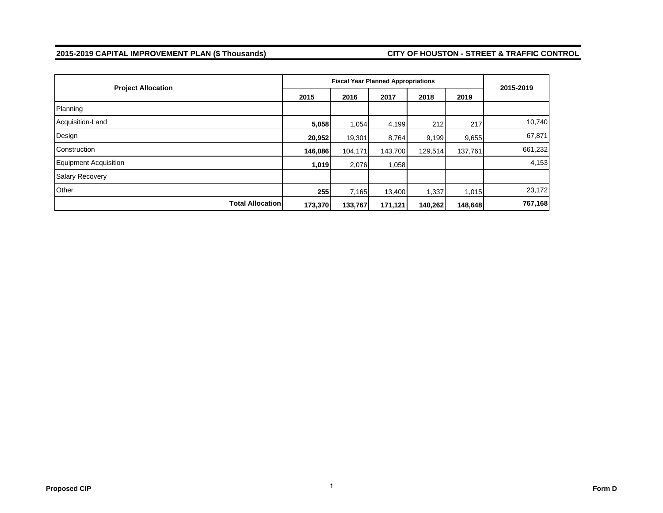#### **2015-2019 CAPITAL IMPROVEMENT PLAN (\$ Thousands) CITY OF HOUSTON - STREET & TRAFFIC CONTROL**

| <b>Project Allocation</b>    |         |         | <b>Fiscal Year Planned Appropriations</b> |         |         | 2015-2019 |  |
|------------------------------|---------|---------|-------------------------------------------|---------|---------|-----------|--|
|                              | 2015    | 2016    | 2017                                      | 2018    | 2019    |           |  |
| Planning                     |         |         |                                           |         |         |           |  |
| Acquisition-Land             | 5,058   | 1,054   | 4,199                                     | 212     | 217     | 10,740    |  |
| Design                       | 20,952  | 19,301  | 8,764                                     | 9,199   | 9,655   | 67,871    |  |
| Construction                 | 146,086 | 104,171 | 143,700                                   | 129,514 | 137,761 | 661,232   |  |
| <b>Equipment Acquisition</b> | 1,019   | 2,076   | 1,058                                     |         |         | 4,153     |  |
| <b>Salary Recovery</b>       |         |         |                                           |         |         |           |  |
| Other                        | 255     | 7,165   | 13,400                                    | 1,337   | 1,015   | 23,172    |  |
| <b>Total Allocation</b>      | 173,370 | 133,767 | 171,121                                   | 140,262 | 148,648 | 767,168   |  |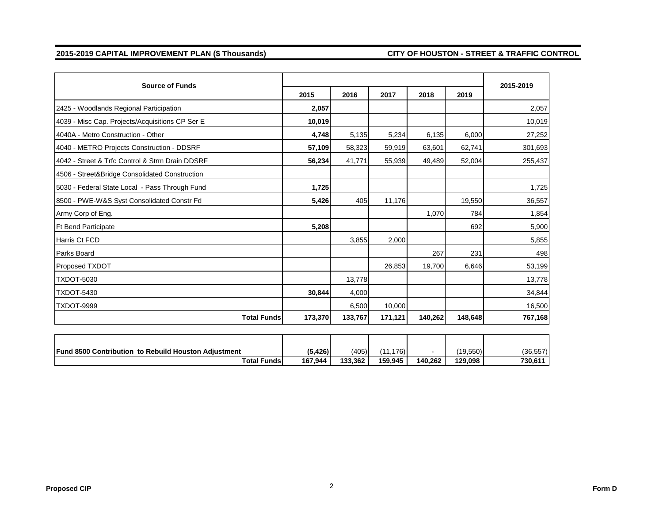#### **2015-2019 CAPITAL IMPROVEMENT PLAN (\$ Thousands) CITY OF HOUSTON - STREET & TRAFFIC CONTROL**

| <b>Source of Funds</b>                                      |          |         |           |         |           | 2015-2019 |
|-------------------------------------------------------------|----------|---------|-----------|---------|-----------|-----------|
|                                                             | 2015     | 2016    | 2017      | 2018    | 2019      |           |
| 2425 - Woodlands Regional Participation                     | 2,057    |         |           |         |           | 2,057     |
| 4039 - Misc Cap. Projects/Acquisitions CP Ser E             | 10,019   |         |           |         |           | 10,019    |
| 4040A - Metro Construction - Other                          | 4,748    | 5,135   | 5,234     | 6,135   | 6,000     | 27,252    |
| 4040 - METRO Projects Construction - DDSRF                  | 57,109   | 58,323  | 59,919    | 63,601  | 62,741    | 301,693   |
| 4042 - Street & Trfc Control & Strm Drain DDSRF             | 56,234   | 41,771  | 55,939    | 49,489  | 52,004    | 255,437   |
| 4506 - Street&Bridge Consolidated Construction              |          |         |           |         |           |           |
| 5030 - Federal State Local - Pass Through Fund              | 1,725    |         |           |         |           | 1,725     |
| 8500 - PWE-W&S Syst Consolidated Constr Fd                  | 5,426    | 405     | 11,176    |         | 19,550    | 36,557    |
| Army Corp of Eng.                                           |          |         |           | 1,070   | 784       | 1,854     |
| <b>Ft Bend Participate</b>                                  | 5,208    |         |           |         | 692       | 5,900     |
| Harris Ct FCD                                               |          | 3,855   | 2,000     |         |           | 5,855     |
| <b>Parks Board</b>                                          |          |         |           | 267     | 231       | 498       |
| Proposed TXDOT                                              |          |         | 26,853    | 19,700  | 6,646     | 53,199    |
| <b>TXDOT-5030</b>                                           |          | 13,778  |           |         |           | 13,778    |
| TXDOT-5430                                                  | 30,844   | 4,000   |           |         |           | 34,844    |
| <b>TXDOT-9999</b>                                           |          | 6,500   | 10,000    |         |           | 16,500    |
| <b>Total Funds</b>                                          | 173,370  | 133,767 | 171,121   | 140,262 | 148.648   | 767,168   |
|                                                             |          |         |           |         |           |           |
| <b>Fund 8500 Contribution to Rebuild Houston Adjustment</b> | (5, 426) | (405)   | (11, 176) |         | (19, 550) | (36, 557) |
| <b>Total Funds</b>                                          | 167,944  | 133,362 | 159,945   | 140,262 | 129,098   | 730,611   |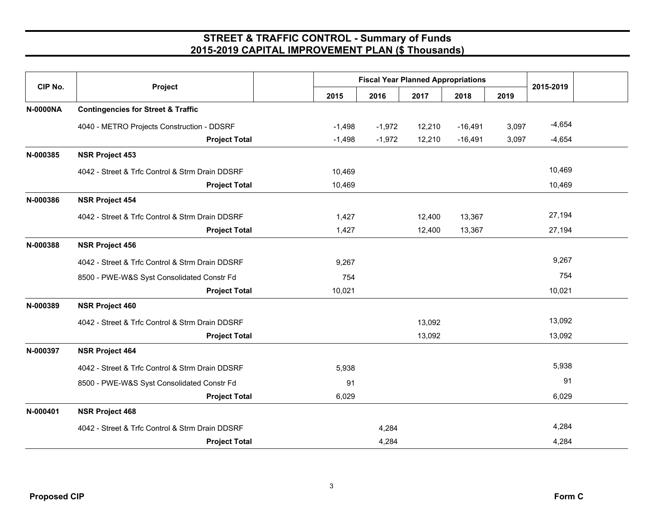| CIP No.         |                                                 |          | <b>Fiscal Year Planned Appropriations</b> |        |           |       |           |
|-----------------|-------------------------------------------------|----------|-------------------------------------------|--------|-----------|-------|-----------|
|                 | Project                                         | 2015     | 2016                                      | 2017   | 2018      | 2019  | 2015-2019 |
| <b>N-0000NA</b> | <b>Contingencies for Street &amp; Traffic</b>   |          |                                           |        |           |       |           |
|                 | 4040 - METRO Projects Construction - DDSRF      | $-1,498$ | $-1,972$                                  | 12,210 | $-16,491$ | 3,097 | $-4,654$  |
|                 | <b>Project Total</b>                            | $-1,498$ | $-1,972$                                  | 12,210 | $-16,491$ | 3,097 | $-4,654$  |
| N-000385        | <b>NSR Project 453</b>                          |          |                                           |        |           |       |           |
|                 | 4042 - Street & Trfc Control & Strm Drain DDSRF | 10,469   |                                           |        |           |       | 10,469    |
|                 | <b>Project Total</b>                            | 10,469   |                                           |        |           |       | 10,469    |
| N-000386        | <b>NSR Project 454</b>                          |          |                                           |        |           |       |           |
|                 | 4042 - Street & Trfc Control & Strm Drain DDSRF | 1,427    |                                           | 12,400 | 13,367    |       | 27,194    |
|                 | <b>Project Total</b>                            | 1,427    |                                           | 12,400 | 13,367    |       | 27,194    |
| N-000388        | <b>NSR Project 456</b>                          |          |                                           |        |           |       |           |
|                 | 4042 - Street & Trfc Control & Strm Drain DDSRF | 9,267    |                                           |        |           |       | 9,267     |
|                 | 8500 - PWE-W&S Syst Consolidated Constr Fd      | 754      |                                           |        |           |       | 754       |
|                 | <b>Project Total</b>                            | 10,021   |                                           |        |           |       | 10,021    |
| N-000389        | <b>NSR Project 460</b>                          |          |                                           |        |           |       |           |
|                 | 4042 - Street & Trfc Control & Strm Drain DDSRF |          |                                           | 13,092 |           |       | 13,092    |
|                 | <b>Project Total</b>                            |          |                                           | 13,092 |           |       | 13,092    |
| N-000397        | <b>NSR Project 464</b>                          |          |                                           |        |           |       |           |
|                 | 4042 - Street & Trfc Control & Strm Drain DDSRF | 5,938    |                                           |        |           |       | 5,938     |
|                 | 8500 - PWE-W&S Syst Consolidated Constr Fd      | 91       |                                           |        |           |       | 91        |
|                 | <b>Project Total</b>                            | 6,029    |                                           |        |           |       | 6,029     |
| N-000401        | <b>NSR Project 468</b>                          |          |                                           |        |           |       |           |
|                 | 4042 - Street & Trfc Control & Strm Drain DDSRF |          | 4,284                                     |        |           |       | 4,284     |
|                 | <b>Project Total</b>                            |          | 4,284                                     |        |           |       | 4,284     |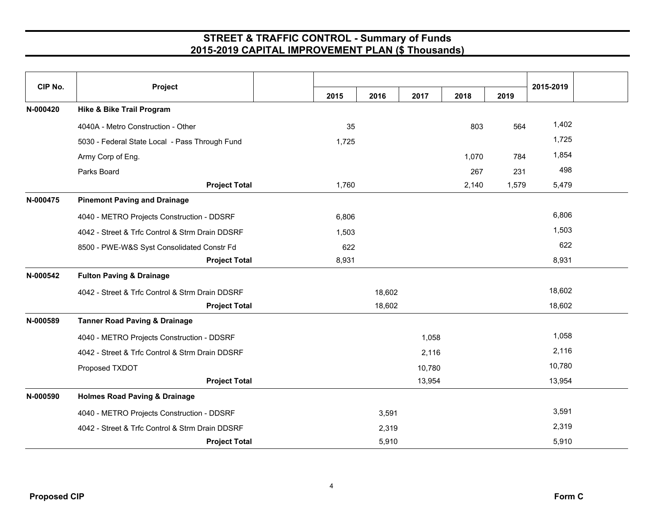| CIP No.  | Project                                         | 2015  | 2016   | 2017   | 2018  | 2019  | 2015-2019 |  |
|----------|-------------------------------------------------|-------|--------|--------|-------|-------|-----------|--|
| N-000420 | <b>Hike &amp; Bike Trail Program</b>            |       |        |        |       |       |           |  |
|          | 4040A - Metro Construction - Other              | 35    |        |        | 803   | 564   | 1,402     |  |
|          | 5030 - Federal State Local - Pass Through Fund  | 1,725 |        |        |       |       | 1,725     |  |
|          | Army Corp of Eng.                               |       |        |        | 1,070 | 784   | 1,854     |  |
|          | Parks Board                                     |       |        |        | 267   | 231   | 498       |  |
|          | <b>Project Total</b>                            | 1,760 |        |        | 2,140 | 1,579 | 5,479     |  |
| N-000475 | <b>Pinemont Paving and Drainage</b>             |       |        |        |       |       |           |  |
|          | 4040 - METRO Projects Construction - DDSRF      | 6,806 |        |        |       |       | 6,806     |  |
|          | 4042 - Street & Trfc Control & Strm Drain DDSRF | 1,503 |        |        |       |       | 1,503     |  |
|          | 8500 - PWE-W&S Syst Consolidated Constr Fd      | 622   |        |        |       |       | 622       |  |
|          | <b>Project Total</b>                            | 8,931 |        |        |       |       | 8,931     |  |
| N-000542 | <b>Fulton Paving &amp; Drainage</b>             |       |        |        |       |       |           |  |
|          | 4042 - Street & Trfc Control & Strm Drain DDSRF |       | 18,602 |        |       |       | 18,602    |  |
|          | <b>Project Total</b>                            |       | 18,602 |        |       |       | 18,602    |  |
| N-000589 | <b>Tanner Road Paving &amp; Drainage</b>        |       |        |        |       |       |           |  |
|          | 4040 - METRO Projects Construction - DDSRF      |       |        | 1,058  |       |       | 1,058     |  |
|          | 4042 - Street & Trfc Control & Strm Drain DDSRF |       |        | 2,116  |       |       | 2,116     |  |
|          | Proposed TXDOT                                  |       |        | 10,780 |       |       | 10,780    |  |
|          | <b>Project Total</b>                            |       |        | 13,954 |       |       | 13,954    |  |
| N-000590 | <b>Holmes Road Paving &amp; Drainage</b>        |       |        |        |       |       |           |  |
|          | 4040 - METRO Projects Construction - DDSRF      |       | 3,591  |        |       |       | 3,591     |  |
|          | 4042 - Street & Trfc Control & Strm Drain DDSRF |       | 2,319  |        |       |       | 2,319     |  |
|          | <b>Project Total</b>                            |       | 5,910  |        |       |       | 5,910     |  |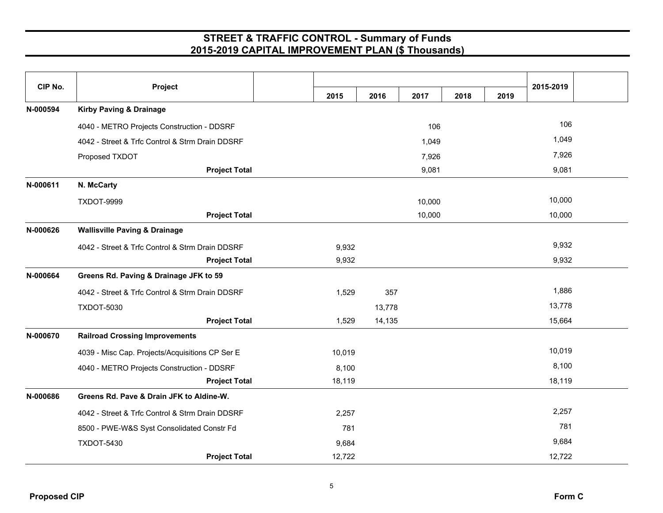| CIP No.  | Project                                         |        |        |        |      |      | 2015-2019 |  |
|----------|-------------------------------------------------|--------|--------|--------|------|------|-----------|--|
|          |                                                 | 2015   | 2016   | 2017   | 2018 | 2019 |           |  |
| N-000594 | <b>Kirby Paving &amp; Drainage</b>              |        |        |        |      |      |           |  |
|          | 4040 - METRO Projects Construction - DDSRF      |        |        | 106    |      |      | 106       |  |
|          | 4042 - Street & Trfc Control & Strm Drain DDSRF |        |        | 1,049  |      |      | 1,049     |  |
|          | Proposed TXDOT                                  |        |        | 7,926  |      |      | 7,926     |  |
|          | <b>Project Total</b>                            |        |        | 9,081  |      |      | 9,081     |  |
| N-000611 | N. McCarty                                      |        |        |        |      |      |           |  |
|          | TXDOT-9999                                      |        |        | 10,000 |      |      | 10,000    |  |
|          | <b>Project Total</b>                            |        |        | 10,000 |      |      | 10,000    |  |
| N-000626 | <b>Wallisville Paving &amp; Drainage</b>        |        |        |        |      |      |           |  |
|          | 4042 - Street & Trfc Control & Strm Drain DDSRF | 9,932  |        |        |      |      | 9,932     |  |
|          | <b>Project Total</b>                            | 9,932  |        |        |      |      | 9,932     |  |
| N-000664 | Greens Rd. Paving & Drainage JFK to 59          |        |        |        |      |      |           |  |
|          | 4042 - Street & Trfc Control & Strm Drain DDSRF | 1,529  | 357    |        |      |      | 1,886     |  |
|          | <b>TXDOT-5030</b>                               |        | 13,778 |        |      |      | 13,778    |  |
|          | <b>Project Total</b>                            | 1,529  | 14,135 |        |      |      | 15,664    |  |
| N-000670 | <b>Railroad Crossing Improvements</b>           |        |        |        |      |      |           |  |
|          | 4039 - Misc Cap. Projects/Acquisitions CP Ser E | 10,019 |        |        |      |      | 10,019    |  |
|          | 4040 - METRO Projects Construction - DDSRF      | 8,100  |        |        |      |      | 8,100     |  |
|          | <b>Project Total</b>                            | 18,119 |        |        |      |      | 18,119    |  |
| N-000686 | Greens Rd. Pave & Drain JFK to Aldine-W.        |        |        |        |      |      |           |  |
|          | 4042 - Street & Trfc Control & Strm Drain DDSRF | 2,257  |        |        |      |      | 2,257     |  |
|          | 8500 - PWE-W&S Syst Consolidated Constr Fd      | 781    |        |        |      |      | 781       |  |
|          | <b>TXDOT-5430</b>                               | 9,684  |        |        |      |      | 9,684     |  |
|          | <b>Project Total</b>                            | 12,722 |        |        |      |      | 12,722    |  |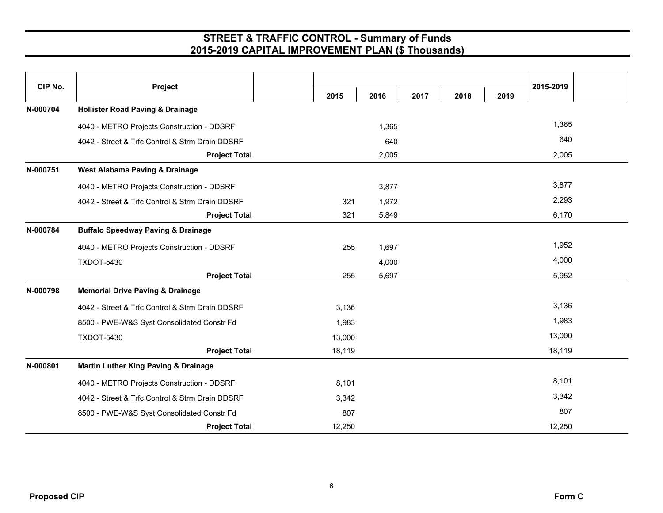| CIP No.  | Project                                         |        |       |      |      |      | 2015-2019 |
|----------|-------------------------------------------------|--------|-------|------|------|------|-----------|
| N-000704 | <b>Hollister Road Paving &amp; Drainage</b>     | 2015   | 2016  | 2017 | 2018 | 2019 |           |
|          |                                                 |        |       |      |      |      |           |
|          | 4040 - METRO Projects Construction - DDSRF      |        | 1,365 |      |      |      | 1,365     |
|          | 4042 - Street & Trfc Control & Strm Drain DDSRF |        | 640   |      |      |      | 640       |
|          | <b>Project Total</b>                            |        | 2,005 |      |      |      | 2,005     |
| N-000751 | West Alabama Paving & Drainage                  |        |       |      |      |      |           |
|          | 4040 - METRO Projects Construction - DDSRF      |        | 3,877 |      |      |      | 3,877     |
|          | 4042 - Street & Trfc Control & Strm Drain DDSRF | 321    | 1,972 |      |      |      | 2,293     |
|          | <b>Project Total</b>                            | 321    | 5,849 |      |      |      | 6,170     |
| N-000784 | <b>Buffalo Speedway Paving &amp; Drainage</b>   |        |       |      |      |      |           |
|          | 4040 - METRO Projects Construction - DDSRF      | 255    | 1,697 |      |      |      | 1,952     |
|          | <b>TXDOT-5430</b>                               |        | 4,000 |      |      |      | 4,000     |
|          | <b>Project Total</b>                            | 255    | 5,697 |      |      |      | 5,952     |
| N-000798 | <b>Memorial Drive Paving &amp; Drainage</b>     |        |       |      |      |      |           |
|          | 4042 - Street & Trfc Control & Strm Drain DDSRF | 3,136  |       |      |      |      | 3,136     |
|          | 8500 - PWE-W&S Syst Consolidated Constr Fd      | 1,983  |       |      |      |      | 1,983     |
|          | <b>TXDOT-5430</b>                               | 13,000 |       |      |      |      | 13,000    |
|          | <b>Project Total</b>                            | 18,119 |       |      |      |      | 18,119    |
| N-000801 | <b>Martin Luther King Paving &amp; Drainage</b> |        |       |      |      |      |           |
|          | 4040 - METRO Projects Construction - DDSRF      | 8,101  |       |      |      |      | 8,101     |
|          | 4042 - Street & Trfc Control & Strm Drain DDSRF | 3,342  |       |      |      |      | 3,342     |
|          | 8500 - PWE-W&S Syst Consolidated Constr Fd      | 807    |       |      |      |      | 807       |
|          | <b>Project Total</b>                            | 12,250 |       |      |      |      | 12,250    |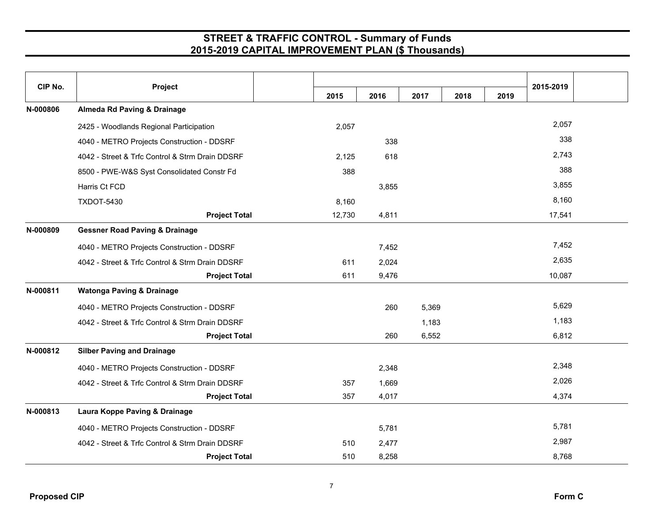| CIP No.  | Project                                         |        |       |       |      |      | 2015-2019 |
|----------|-------------------------------------------------|--------|-------|-------|------|------|-----------|
|          |                                                 | 2015   | 2016  | 2017  | 2018 | 2019 |           |
| N-000806 | <b>Almeda Rd Paving &amp; Drainage</b>          |        |       |       |      |      |           |
|          | 2425 - Woodlands Regional Participation         | 2,057  |       |       |      |      | 2,057     |
|          | 4040 - METRO Projects Construction - DDSRF      |        | 338   |       |      |      | 338       |
|          | 4042 - Street & Trfc Control & Strm Drain DDSRF | 2,125  | 618   |       |      |      | 2,743     |
|          | 8500 - PWE-W&S Syst Consolidated Constr Fd      | 388    |       |       |      |      | 388       |
|          | Harris Ct FCD                                   |        | 3,855 |       |      |      | 3,855     |
|          | <b>TXDOT-5430</b>                               | 8,160  |       |       |      |      | 8,160     |
|          | <b>Project Total</b>                            | 12,730 | 4,811 |       |      |      | 17,541    |
| N-000809 | <b>Gessner Road Paving &amp; Drainage</b>       |        |       |       |      |      |           |
|          | 4040 - METRO Projects Construction - DDSRF      |        | 7,452 |       |      |      | 7,452     |
|          | 4042 - Street & Trfc Control & Strm Drain DDSRF | 611    | 2,024 |       |      |      | 2,635     |
|          | <b>Project Total</b>                            | 611    | 9,476 |       |      |      | 10,087    |
| N-000811 | <b>Watonga Paving &amp; Drainage</b>            |        |       |       |      |      |           |
|          | 4040 - METRO Projects Construction - DDSRF      |        | 260   | 5,369 |      |      | 5,629     |
|          | 4042 - Street & Trfc Control & Strm Drain DDSRF |        |       | 1,183 |      |      | 1,183     |
|          | <b>Project Total</b>                            |        | 260   | 6,552 |      |      | 6,812     |
| N-000812 | <b>Silber Paving and Drainage</b>               |        |       |       |      |      |           |
|          | 4040 - METRO Projects Construction - DDSRF      |        | 2,348 |       |      |      | 2,348     |
|          | 4042 - Street & Trfc Control & Strm Drain DDSRF | 357    | 1,669 |       |      |      | 2,026     |
|          | <b>Project Total</b>                            | 357    | 4,017 |       |      |      | 4,374     |
| N-000813 | Laura Koppe Paving & Drainage                   |        |       |       |      |      |           |
|          | 4040 - METRO Projects Construction - DDSRF      |        | 5,781 |       |      |      | 5,781     |
|          | 4042 - Street & Trfc Control & Strm Drain DDSRF | 510    | 2,477 |       |      |      | 2,987     |
|          | <b>Project Total</b>                            | 510    | 8,258 |       |      |      | 8,768     |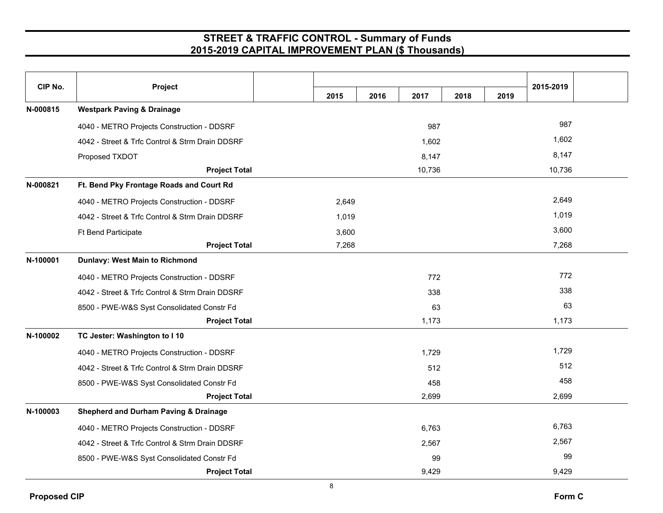| CIP No.  | Project                                          | 2015  | 2016 | 2017   | 2018 | 2019 | 2015-2019 |  |
|----------|--------------------------------------------------|-------|------|--------|------|------|-----------|--|
| N-000815 | <b>Westpark Paving &amp; Drainage</b>            |       |      |        |      |      |           |  |
|          | 4040 - METRO Projects Construction - DDSRF       |       |      | 987    |      |      | 987       |  |
|          | 4042 - Street & Trfc Control & Strm Drain DDSRF  |       |      | 1,602  |      |      | 1,602     |  |
|          | Proposed TXDOT                                   |       |      | 8,147  |      |      | 8,147     |  |
|          | <b>Project Total</b>                             |       |      | 10,736 |      |      | 10,736    |  |
| N-000821 | Ft. Bend Pky Frontage Roads and Court Rd         |       |      |        |      |      |           |  |
|          | 4040 - METRO Projects Construction - DDSRF       | 2,649 |      |        |      |      | 2,649     |  |
|          | 4042 - Street & Trfc Control & Strm Drain DDSRF  | 1,019 |      |        |      |      | 1,019     |  |
|          | Ft Bend Participate                              | 3,600 |      |        |      |      | 3,600     |  |
|          | <b>Project Total</b>                             | 7,268 |      |        |      |      | 7,268     |  |
| N-100001 | Dunlavy: West Main to Richmond                   |       |      |        |      |      |           |  |
|          | 4040 - METRO Projects Construction - DDSRF       |       |      | 772    |      |      | 772       |  |
|          | 4042 - Street & Trfc Control & Strm Drain DDSRF  |       |      | 338    |      |      | 338       |  |
|          | 8500 - PWE-W&S Syst Consolidated Constr Fd       |       |      | 63     |      |      | 63        |  |
|          | <b>Project Total</b>                             |       |      | 1,173  |      |      | 1,173     |  |
| N-100002 | TC Jester: Washington to I 10                    |       |      |        |      |      |           |  |
|          | 4040 - METRO Projects Construction - DDSRF       |       |      | 1,729  |      |      | 1,729     |  |
|          | 4042 - Street & Trfc Control & Strm Drain DDSRF  |       |      | 512    |      |      | 512       |  |
|          | 8500 - PWE-W&S Syst Consolidated Constr Fd       |       |      | 458    |      |      | 458       |  |
|          | <b>Project Total</b>                             |       |      | 2,699  |      |      | 2,699     |  |
| N-100003 | <b>Shepherd and Durham Paving &amp; Drainage</b> |       |      |        |      |      |           |  |
|          | 4040 - METRO Projects Construction - DDSRF       |       |      | 6,763  |      |      | 6,763     |  |
|          | 4042 - Street & Trfc Control & Strm Drain DDSRF  |       |      | 2,567  |      |      | 2,567     |  |
|          | 8500 - PWE-W&S Syst Consolidated Constr Fd       |       |      | 99     |      |      | 99        |  |
|          | <b>Project Total</b>                             |       |      | 9,429  |      |      | 9,429     |  |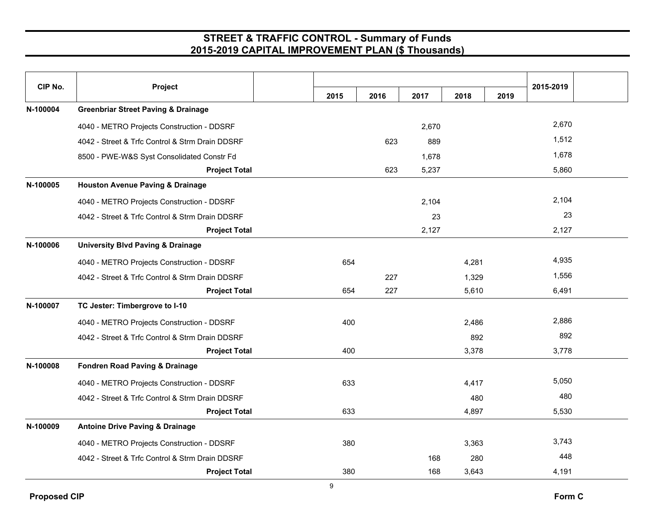| CIP No.  | Project                                         | 2015 | 2016 | 2017  | 2018  | 2019 | 2015-2019 |  |
|----------|-------------------------------------------------|------|------|-------|-------|------|-----------|--|
| N-100004 | <b>Greenbriar Street Paving &amp; Drainage</b>  |      |      |       |       |      |           |  |
|          | 4040 - METRO Projects Construction - DDSRF      |      |      | 2,670 |       |      | 2,670     |  |
|          | 4042 - Street & Trfc Control & Strm Drain DDSRF |      | 623  | 889   |       |      | 1,512     |  |
|          | 8500 - PWE-W&S Syst Consolidated Constr Fd      |      |      | 1,678 |       |      | 1,678     |  |
|          | <b>Project Total</b>                            |      | 623  | 5,237 |       |      | 5,860     |  |
| N-100005 | <b>Houston Avenue Paving &amp; Drainage</b>     |      |      |       |       |      |           |  |
|          | 4040 - METRO Projects Construction - DDSRF      |      |      | 2,104 |       |      | 2,104     |  |
|          | 4042 - Street & Trfc Control & Strm Drain DDSRF |      |      | 23    |       |      | 23        |  |
|          | <b>Project Total</b>                            |      |      | 2,127 |       |      | 2,127     |  |
| N-100006 | <b>University Blvd Paving &amp; Drainage</b>    |      |      |       |       |      |           |  |
|          | 4040 - METRO Projects Construction - DDSRF      | 654  |      |       | 4,281 |      | 4,935     |  |
|          | 4042 - Street & Trfc Control & Strm Drain DDSRF |      | 227  |       | 1,329 |      | 1,556     |  |
|          | <b>Project Total</b>                            | 654  | 227  |       | 5,610 |      | 6,491     |  |
| N-100007 | TC Jester: Timbergrove to I-10                  |      |      |       |       |      |           |  |
|          | 4040 - METRO Projects Construction - DDSRF      | 400  |      |       | 2,486 |      | 2,886     |  |
|          | 4042 - Street & Trfc Control & Strm Drain DDSRF |      |      |       | 892   |      | 892       |  |
|          | <b>Project Total</b>                            | 400  |      |       | 3,378 |      | 3,778     |  |
| N-100008 | <b>Fondren Road Paving &amp; Drainage</b>       |      |      |       |       |      |           |  |
|          | 4040 - METRO Projects Construction - DDSRF      | 633  |      |       | 4,417 |      | 5,050     |  |
|          | 4042 - Street & Trfc Control & Strm Drain DDSRF |      |      |       | 480   |      | 480       |  |
|          | <b>Project Total</b>                            | 633  |      |       | 4,897 |      | 5,530     |  |
| N-100009 | <b>Antoine Drive Paving &amp; Drainage</b>      |      |      |       |       |      |           |  |
|          | 4040 - METRO Projects Construction - DDSRF      | 380  |      |       | 3,363 |      | 3,743     |  |
|          | 4042 - Street & Trfc Control & Strm Drain DDSRF |      |      | 168   | 280   |      | 448       |  |
|          | <b>Project Total</b>                            | 380  |      | 168   | 3,643 |      | 4,191     |  |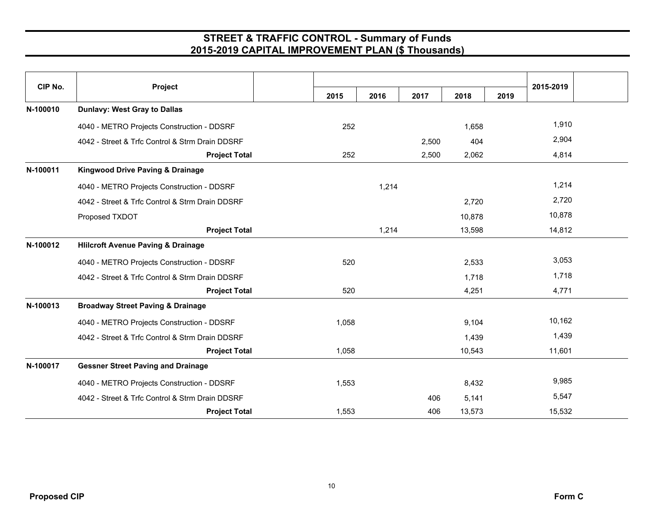| CIP No.  | Project                                         |       |       |       |        |      | 2015-2019 |  |
|----------|-------------------------------------------------|-------|-------|-------|--------|------|-----------|--|
|          |                                                 | 2015  | 2016  | 2017  | 2018   | 2019 |           |  |
| N-100010 | <b>Dunlavy: West Gray to Dallas</b>             |       |       |       |        |      |           |  |
|          | 4040 - METRO Projects Construction - DDSRF      | 252   |       |       | 1,658  |      | 1,910     |  |
|          | 4042 - Street & Trfc Control & Strm Drain DDSRF |       |       | 2,500 | 404    |      | 2,904     |  |
|          | <b>Project Total</b>                            | 252   |       | 2,500 | 2,062  |      | 4,814     |  |
| N-100011 | <b>Kingwood Drive Paving &amp; Drainage</b>     |       |       |       |        |      |           |  |
|          | 4040 - METRO Projects Construction - DDSRF      |       | 1,214 |       |        |      | 1,214     |  |
|          | 4042 - Street & Trfc Control & Strm Drain DDSRF |       |       |       | 2,720  |      | 2,720     |  |
|          | Proposed TXDOT                                  |       |       |       | 10,878 |      | 10,878    |  |
|          | <b>Project Total</b>                            |       | 1,214 |       | 13,598 |      | 14,812    |  |
| N-100012 | <b>Hlilcroft Avenue Paving &amp; Drainage</b>   |       |       |       |        |      |           |  |
|          | 4040 - METRO Projects Construction - DDSRF      | 520   |       |       | 2,533  |      | 3,053     |  |
|          | 4042 - Street & Trfc Control & Strm Drain DDSRF |       |       |       | 1,718  |      | 1,718     |  |
|          | <b>Project Total</b>                            | 520   |       |       | 4,251  |      | 4,771     |  |
| N-100013 | <b>Broadway Street Paving &amp; Drainage</b>    |       |       |       |        |      |           |  |
|          | 4040 - METRO Projects Construction - DDSRF      | 1,058 |       |       | 9,104  |      | 10,162    |  |
|          | 4042 - Street & Trfc Control & Strm Drain DDSRF |       |       |       | 1,439  |      | 1,439     |  |
|          | <b>Project Total</b>                            | 1,058 |       |       | 10,543 |      | 11,601    |  |
| N-100017 | <b>Gessner Street Paving and Drainage</b>       |       |       |       |        |      |           |  |
|          | 4040 - METRO Projects Construction - DDSRF      | 1,553 |       |       | 8,432  |      | 9,985     |  |
|          | 4042 - Street & Trfc Control & Strm Drain DDSRF |       |       | 406   | 5,141  |      | 5,547     |  |
|          | <b>Project Total</b>                            | 1,553 |       | 406   | 13,573 |      | 15,532    |  |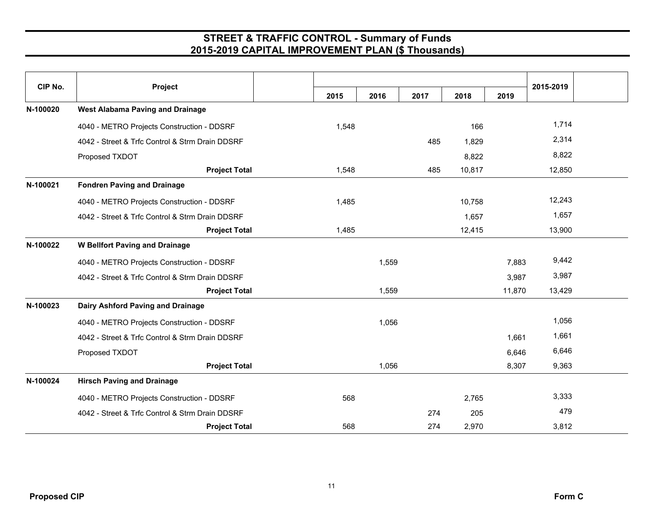| CIP No.  | Project                                         | 2015  | 2016  | 2017 | 2018   | 2019   | 2015-2019 |  |
|----------|-------------------------------------------------|-------|-------|------|--------|--------|-----------|--|
| N-100020 | <b>West Alabama Paving and Drainage</b>         |       |       |      |        |        |           |  |
|          |                                                 |       |       |      |        |        | 1,714     |  |
|          | 4040 - METRO Projects Construction - DDSRF      | 1,548 |       |      | 166    |        |           |  |
|          | 4042 - Street & Trfc Control & Strm Drain DDSRF |       |       | 485  | 1,829  |        | 2,314     |  |
|          | Proposed TXDOT                                  |       |       |      | 8,822  |        | 8,822     |  |
|          | <b>Project Total</b>                            | 1,548 |       | 485  | 10,817 |        | 12,850    |  |
| N-100021 | <b>Fondren Paving and Drainage</b>              |       |       |      |        |        |           |  |
|          | 4040 - METRO Projects Construction - DDSRF      | 1,485 |       |      | 10,758 |        | 12,243    |  |
|          | 4042 - Street & Trfc Control & Strm Drain DDSRF |       |       |      | 1,657  |        | 1,657     |  |
|          | <b>Project Total</b>                            | 1,485 |       |      | 12,415 |        | 13,900    |  |
| N-100022 | <b>W Bellfort Paving and Drainage</b>           |       |       |      |        |        |           |  |
|          | 4040 - METRO Projects Construction - DDSRF      |       | 1,559 |      |        | 7,883  | 9,442     |  |
|          | 4042 - Street & Trfc Control & Strm Drain DDSRF |       |       |      |        | 3,987  | 3,987     |  |
|          | <b>Project Total</b>                            |       | 1,559 |      |        | 11,870 | 13,429    |  |
| N-100023 | Dairy Ashford Paving and Drainage               |       |       |      |        |        |           |  |
|          | 4040 - METRO Projects Construction - DDSRF      |       | 1,056 |      |        |        | 1,056     |  |
|          | 4042 - Street & Trfc Control & Strm Drain DDSRF |       |       |      |        | 1,661  | 1,661     |  |
|          | Proposed TXDOT                                  |       |       |      |        | 6,646  | 6,646     |  |
|          | <b>Project Total</b>                            |       | 1,056 |      |        | 8,307  | 9,363     |  |
| N-100024 | <b>Hirsch Paving and Drainage</b>               |       |       |      |        |        |           |  |
|          | 4040 - METRO Projects Construction - DDSRF      | 568   |       |      | 2,765  |        | 3,333     |  |
|          | 4042 - Street & Trfc Control & Strm Drain DDSRF |       |       | 274  | 205    |        | 479       |  |
|          | <b>Project Total</b>                            | 568   |       | 274  | 2,970  |        | 3,812     |  |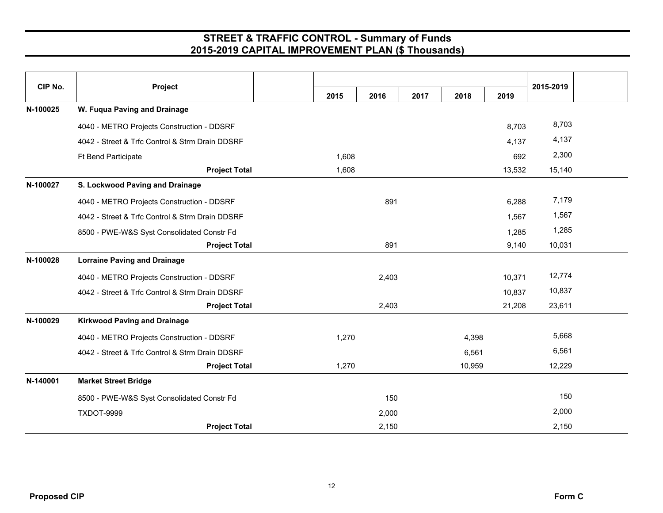| CIP No.  |                                                 |       |       |      |        |        |           |  |
|----------|-------------------------------------------------|-------|-------|------|--------|--------|-----------|--|
|          | Project                                         | 2015  | 2016  | 2017 | 2018   | 2019   | 2015-2019 |  |
| N-100025 | W. Fuqua Paving and Drainage                    |       |       |      |        |        |           |  |
|          | 4040 - METRO Projects Construction - DDSRF      |       |       |      |        | 8,703  | 8,703     |  |
|          | 4042 - Street & Trfc Control & Strm Drain DDSRF |       |       |      |        | 4,137  | 4,137     |  |
|          | <b>Ft Bend Participate</b>                      | 1,608 |       |      |        | 692    | 2,300     |  |
|          | <b>Project Total</b>                            | 1,608 |       |      |        | 13,532 | 15,140    |  |
| N-100027 | S. Lockwood Paving and Drainage                 |       |       |      |        |        |           |  |
|          | 4040 - METRO Projects Construction - DDSRF      |       | 891   |      |        | 6,288  | 7,179     |  |
|          | 4042 - Street & Trfc Control & Strm Drain DDSRF |       |       |      |        | 1,567  | 1,567     |  |
|          | 8500 - PWE-W&S Syst Consolidated Constr Fd      |       |       |      |        | 1,285  | 1,285     |  |
|          | <b>Project Total</b>                            |       | 891   |      |        | 9,140  | 10,031    |  |
| N-100028 | <b>Lorraine Paving and Drainage</b>             |       |       |      |        |        |           |  |
|          | 4040 - METRO Projects Construction - DDSRF      |       | 2,403 |      |        | 10,371 | 12,774    |  |
|          | 4042 - Street & Trfc Control & Strm Drain DDSRF |       |       |      |        | 10,837 | 10,837    |  |
|          | <b>Project Total</b>                            |       | 2,403 |      |        | 21,208 | 23,611    |  |
| N-100029 | <b>Kirkwood Paving and Drainage</b>             |       |       |      |        |        |           |  |
|          | 4040 - METRO Projects Construction - DDSRF      | 1,270 |       |      | 4,398  |        | 5,668     |  |
|          | 4042 - Street & Trfc Control & Strm Drain DDSRF |       |       |      | 6,561  |        | 6,561     |  |
|          | <b>Project Total</b>                            | 1,270 |       |      | 10,959 |        | 12,229    |  |
| N-140001 | <b>Market Street Bridge</b>                     |       |       |      |        |        |           |  |
|          | 8500 - PWE-W&S Syst Consolidated Constr Fd      |       | 150   |      |        |        | 150       |  |
|          | TXDOT-9999                                      |       | 2,000 |      |        |        | 2,000     |  |
|          | <b>Project Total</b>                            |       | 2,150 |      |        |        | 2,150     |  |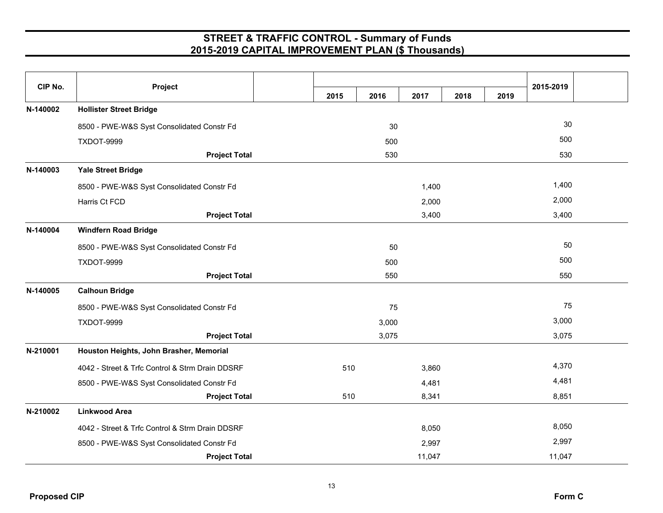| CIP No.  | Project                                         |      |       |        |      |      |           |  |
|----------|-------------------------------------------------|------|-------|--------|------|------|-----------|--|
|          |                                                 | 2015 | 2016  | 2017   | 2018 | 2019 | 2015-2019 |  |
| N-140002 | <b>Hollister Street Bridge</b>                  |      |       |        |      |      |           |  |
|          | 8500 - PWE-W&S Syst Consolidated Constr Fd      |      | 30    |        |      |      | 30        |  |
|          | <b>TXDOT-9999</b>                               |      | 500   |        |      |      | 500       |  |
|          | <b>Project Total</b>                            |      | 530   |        |      |      | 530       |  |
| N-140003 | <b>Yale Street Bridge</b>                       |      |       |        |      |      |           |  |
|          | 8500 - PWE-W&S Syst Consolidated Constr Fd      |      |       | 1,400  |      |      | 1,400     |  |
|          | Harris Ct FCD                                   |      |       | 2,000  |      |      | 2,000     |  |
|          | <b>Project Total</b>                            |      |       | 3,400  |      |      | 3,400     |  |
| N-140004 | <b>Windfern Road Bridge</b>                     |      |       |        |      |      |           |  |
|          | 8500 - PWE-W&S Syst Consolidated Constr Fd      |      | 50    |        |      |      | 50        |  |
|          | TXDOT-9999                                      |      | 500   |        |      |      | 500       |  |
|          | <b>Project Total</b>                            |      | 550   |        |      |      | 550       |  |
| N-140005 | <b>Calhoun Bridge</b>                           |      |       |        |      |      |           |  |
|          | 8500 - PWE-W&S Syst Consolidated Constr Fd      |      | 75    |        |      |      | 75        |  |
|          | <b>TXDOT-9999</b>                               |      | 3,000 |        |      |      | 3,000     |  |
|          | <b>Project Total</b>                            |      | 3,075 |        |      |      | 3,075     |  |
| N-210001 | Houston Heights, John Brasher, Memorial         |      |       |        |      |      |           |  |
|          | 4042 - Street & Trfc Control & Strm Drain DDSRF | 510  |       | 3,860  |      |      | 4,370     |  |
|          | 8500 - PWE-W&S Syst Consolidated Constr Fd      |      |       | 4,481  |      |      | 4,481     |  |
|          | <b>Project Total</b>                            | 510  |       | 8,341  |      |      | 8,851     |  |
| N-210002 | <b>Linkwood Area</b>                            |      |       |        |      |      |           |  |
|          | 4042 - Street & Trfc Control & Strm Drain DDSRF |      |       | 8,050  |      |      | 8,050     |  |
|          | 8500 - PWE-W&S Syst Consolidated Constr Fd      |      |       | 2,997  |      |      | 2,997     |  |
|          | <b>Project Total</b>                            |      |       | 11,047 |      |      | 11,047    |  |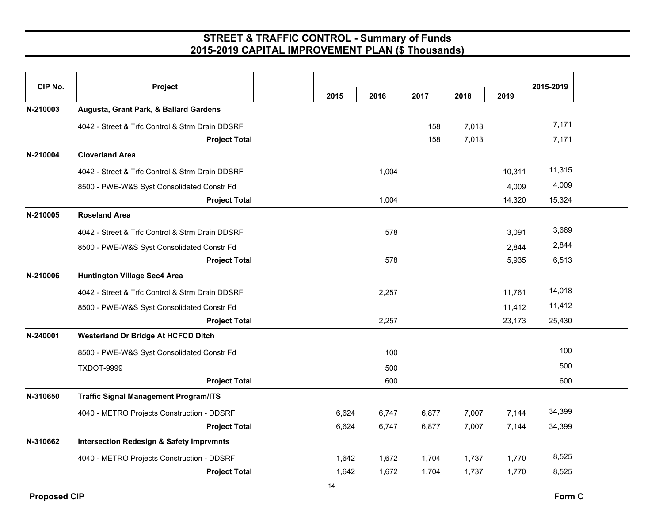| CIP No.  | Project                                             |       |       |       |       |        |           |  |
|----------|-----------------------------------------------------|-------|-------|-------|-------|--------|-----------|--|
|          |                                                     | 2015  | 2016  | 2017  | 2018  | 2019   | 2015-2019 |  |
| N-210003 | Augusta, Grant Park, & Ballard Gardens              |       |       |       |       |        |           |  |
|          | 4042 - Street & Trfc Control & Strm Drain DDSRF     |       |       | 158   | 7,013 |        | 7,171     |  |
|          | <b>Project Total</b>                                |       |       | 158   | 7,013 |        | 7,171     |  |
| N-210004 | <b>Cloverland Area</b>                              |       |       |       |       |        |           |  |
|          | 4042 - Street & Trfc Control & Strm Drain DDSRF     |       | 1,004 |       |       | 10,311 | 11,315    |  |
|          | 8500 - PWE-W&S Syst Consolidated Constr Fd          |       |       |       |       | 4,009  | 4,009     |  |
|          | <b>Project Total</b>                                |       | 1,004 |       |       | 14,320 | 15,324    |  |
| N-210005 | <b>Roseland Area</b>                                |       |       |       |       |        |           |  |
|          | 4042 - Street & Trfc Control & Strm Drain DDSRF     |       | 578   |       |       | 3,091  | 3,669     |  |
|          | 8500 - PWE-W&S Syst Consolidated Constr Fd          |       |       |       |       | 2,844  | 2,844     |  |
|          | <b>Project Total</b>                                |       | 578   |       |       | 5,935  | 6,513     |  |
| N-210006 | <b>Huntington Village Sec4 Area</b>                 |       |       |       |       |        |           |  |
|          | 4042 - Street & Trfc Control & Strm Drain DDSRF     |       | 2,257 |       |       | 11,761 | 14,018    |  |
|          | 8500 - PWE-W&S Syst Consolidated Constr Fd          |       |       |       |       | 11,412 | 11,412    |  |
|          | <b>Project Total</b>                                |       | 2,257 |       |       | 23,173 | 25,430    |  |
| N-240001 | <b>Westerland Dr Bridge At HCFCD Ditch</b>          |       |       |       |       |        |           |  |
|          | 8500 - PWE-W&S Syst Consolidated Constr Fd          |       | 100   |       |       |        | 100       |  |
|          | <b>TXDOT-9999</b>                                   |       | 500   |       |       |        | 500       |  |
|          | <b>Project Total</b>                                |       | 600   |       |       |        | 600       |  |
| N-310650 | <b>Traffic Signal Management Program/ITS</b>        |       |       |       |       |        |           |  |
|          | 4040 - METRO Projects Construction - DDSRF          | 6,624 | 6,747 | 6,877 | 7,007 | 7,144  | 34,399    |  |
|          | <b>Project Total</b>                                | 6,624 | 6,747 | 6,877 | 7,007 | 7,144  | 34,399    |  |
| N-310662 | <b>Intersection Redesign &amp; Safety Imprvmnts</b> |       |       |       |       |        |           |  |
|          | 4040 - METRO Projects Construction - DDSRF          | 1,642 | 1,672 | 1,704 | 1,737 | 1,770  | 8,525     |  |
|          | <b>Project Total</b>                                | 1,642 | 1,672 | 1,704 | 1,737 | 1,770  | 8,525     |  |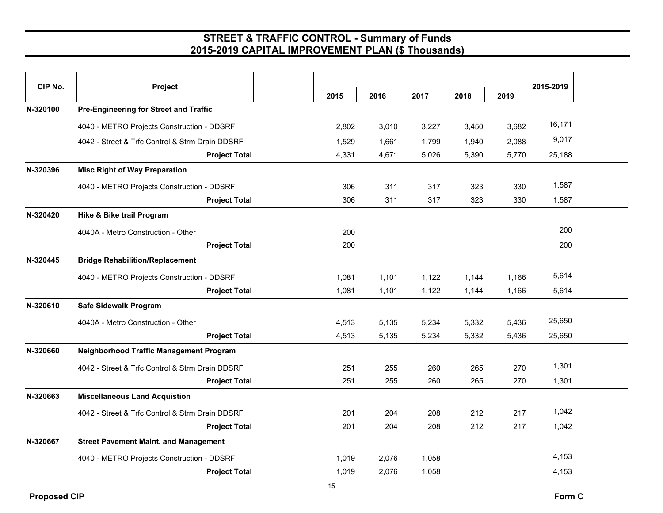| CIP No.  | Project                                         |       |       |       |       |       | 2015-2019 |  |
|----------|-------------------------------------------------|-------|-------|-------|-------|-------|-----------|--|
|          |                                                 | 2015  | 2016  | 2017  | 2018  | 2019  |           |  |
| N-320100 | Pre-Engineering for Street and Traffic          |       |       |       |       |       |           |  |
|          | 4040 - METRO Projects Construction - DDSRF      | 2,802 | 3,010 | 3,227 | 3,450 | 3,682 | 16,171    |  |
|          | 4042 - Street & Trfc Control & Strm Drain DDSRF | 1,529 | 1,661 | 1,799 | 1,940 | 2,088 | 9,017     |  |
|          | <b>Project Total</b>                            | 4,331 | 4,671 | 5,026 | 5,390 | 5,770 | 25,188    |  |
| N-320396 | <b>Misc Right of Way Preparation</b>            |       |       |       |       |       |           |  |
|          | 4040 - METRO Projects Construction - DDSRF      | 306   | 311   | 317   | 323   | 330   | 1,587     |  |
|          | <b>Project Total</b>                            | 306   | 311   | 317   | 323   | 330   | 1,587     |  |
| N-320420 | Hike & Bike trail Program                       |       |       |       |       |       |           |  |
|          | 4040A - Metro Construction - Other              | 200   |       |       |       |       | 200       |  |
|          | <b>Project Total</b>                            | 200   |       |       |       |       | 200       |  |
| N-320445 | <b>Bridge Rehabilition/Replacement</b>          |       |       |       |       |       |           |  |
|          | 4040 - METRO Projects Construction - DDSRF      | 1,081 | 1,101 | 1,122 | 1,144 | 1,166 | 5,614     |  |
|          | <b>Project Total</b>                            | 1,081 | 1,101 | 1,122 | 1,144 | 1,166 | 5,614     |  |
| N-320610 | Safe Sidewalk Program                           |       |       |       |       |       |           |  |
|          | 4040A - Metro Construction - Other              | 4,513 | 5,135 | 5,234 | 5,332 | 5,436 | 25,650    |  |
|          | <b>Project Total</b>                            | 4,513 | 5,135 | 5,234 | 5,332 | 5,436 | 25,650    |  |
| N-320660 | Neighborhood Traffic Management Program         |       |       |       |       |       |           |  |
|          | 4042 - Street & Trfc Control & Strm Drain DDSRF | 251   | 255   | 260   | 265   | 270   | 1,301     |  |
|          | <b>Project Total</b>                            | 251   | 255   | 260   | 265   | 270   | 1,301     |  |
| N-320663 | <b>Miscellaneous Land Acquistion</b>            |       |       |       |       |       |           |  |
|          | 4042 - Street & Trfc Control & Strm Drain DDSRF | 201   | 204   | 208   | 212   | 217   | 1,042     |  |
|          | <b>Project Total</b>                            | 201   | 204   | 208   | 212   | 217   | 1,042     |  |
| N-320667 | <b>Street Pavement Maint. and Management</b>    |       |       |       |       |       |           |  |
|          | 4040 - METRO Projects Construction - DDSRF      | 1,019 | 2,076 | 1,058 |       |       | 4,153     |  |
|          | <b>Project Total</b>                            | 1,019 | 2,076 | 1,058 |       |       | 4,153     |  |